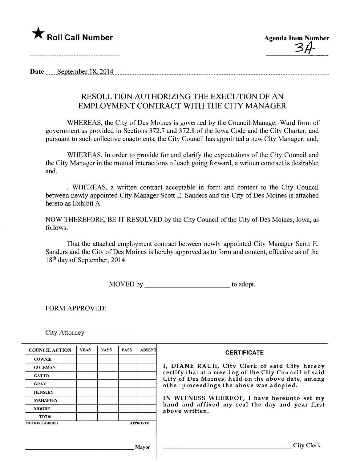

 $34$ 

Date September 18, 2014

# RESOLUTION AUTHORIZING THE EXECUTION OF AN EMPLOYMENT CONTRACT WITH THE CITY MANAGER

WHEREAS, the City of Des Moines is governed by the Council-Manager-Ward form of government as provided in Sections 372.7 and 372.8 of the Iowa Code and the City Charter, and pursuant to such collective enactments, the City Council has appointed a new City Manager; and,

WHEREAS, in order to provide for and clarify the expectations of the City Council and the City Manager in the mutual interactions of each going forward, a written contract is desirable; and,

. WHEREAS, a written contract acceptable in form and content to the City Council between newly appointed City Manager Scott E. Sanders and the City of Des Moines is attached hereto as Exhibit A.

NOW THEREFORE, BE IT RESOLVED by the City Council of the City of Des Moines, Iowa, as follows:

That the attached employment contract between newly appointed City Manager Scott E. Sanders and the City of Des Moines is hereby approved as to form and content, effective as of the 18th day of September, 2014.

MOVED by to adopt.

FORM APPROVED:

City Attorney

| <b>COUNCIL ACTION</b> | <b>YEAS</b> | <b>NAYS</b> | <b>PASS</b> | <b>ABSENT</b>   | <b>CERTIFICATE</b>                                                                                                                                                                                                                                                                                                         |
|-----------------------|-------------|-------------|-------------|-----------------|----------------------------------------------------------------------------------------------------------------------------------------------------------------------------------------------------------------------------------------------------------------------------------------------------------------------------|
| <b>COWNIE</b>         |             |             |             |                 | I, DIANE RAUH, City Clerk of said City hereby<br>certify that at a meeting of the City Council of said<br>City of Des Moines, held on the above date, among<br>other proceedings the above was adopted.<br>IN WITNESS WHEREOF, I have hereunto set my<br>hand and affixed my seal the day and year first<br>above written. |
| <b>COLEMAN</b>        |             |             |             |                 |                                                                                                                                                                                                                                                                                                                            |
| <b>GATTO</b>          |             |             |             |                 |                                                                                                                                                                                                                                                                                                                            |
| <b>GRAY</b>           |             |             |             |                 |                                                                                                                                                                                                                                                                                                                            |
| <b>HENSLEY</b>        |             |             |             |                 |                                                                                                                                                                                                                                                                                                                            |
| <b>MAHAFFEY</b>       |             |             |             |                 |                                                                                                                                                                                                                                                                                                                            |
| <b>MOORE</b>          |             |             |             |                 |                                                                                                                                                                                                                                                                                                                            |
| <b>TOTAL</b>          |             |             |             |                 |                                                                                                                                                                                                                                                                                                                            |
| <b>MOTION CARRIED</b> |             |             |             | <b>APPROVED</b> |                                                                                                                                                                                                                                                                                                                            |
|                       |             |             |             |                 |                                                                                                                                                                                                                                                                                                                            |
|                       |             |             |             |                 |                                                                                                                                                                                                                                                                                                                            |
| Mayor                 |             |             |             |                 | City Clerk                                                                                                                                                                                                                                                                                                                 |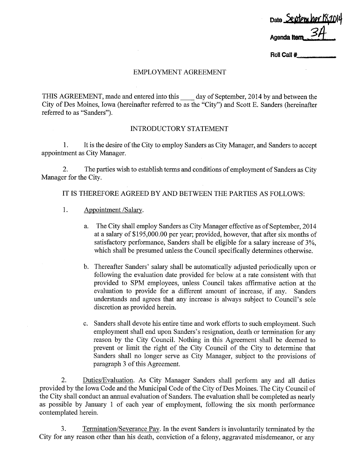Date September 18,1014 Agenda *Item* 

Roll Call  $#$ 

#### EMPLOYMENT AGREEMENT

THIS AGREEMENT, made and entered into this day of September, 2014 by and between the City of Des Moines, Iowa (hereinafter referred to as the "City") and Scott E. Sanders (hereinafter referred to as "Sanders").

#### INTRODUCTORY STATEMENT

1. It is the desire of the City to employ Sanders as City Manager, and Sanders to accept appointment as City Manager.

2. The paries wish to establish terms and conditions of employment of Sanders as City Manager for the City.

IT IS THEREFORE AGREED BY AND BETWEEN THE PARTIES AS FOLLOWS:

- 1. Appointment /Salary.
	- a. The City shall employ Sanders as City Manager effective as of September, 2014 at a salary of \$195,000.00 per year; provided, however, that after six months of satisfactory performance, Sanders shall be eligible for a salary increase of 3%, which shall be presumed unless the Council specifically determines otherwise.
	- b. Thereafter Sanders' salary shall be automatically adjusted periodically upon or following the evaluation date provided for below at a rate consistent with that provided to SPM employees, unless Council takes affirmative action at the evaluation to provide for a different amount of increase, if any. Sanders understands and agrees that any increase is always subject to Council's sole discretion as provided herein.
	- c. Sanders shall devote his entire time and work efforts to such employment. Such employment shall end upon Sanders's resignation, death or termination for any reason by the City CounciL. Nothing in this Agreement shall be deemed to prevent or limit the right of the City Council of the City to determine that Sanders shall no longer serve as City Manager, subject to the provisions of paragraph 3 of this Agreement.

2. Duties/Evaluation. As City Manager Sanders shall perform any and all duties provided by the Iowa Code and the Municipal Code of the City of Des Moines. The City Council of the City shall conduct an anual evaluation of Sanders. The evaluation shall be completed as nearly as possible by January 1 of each year of employment, following the six month performance contemplated herein.

3. Termination/Severance Pay. In the event Sanders is involuntarily terminated by the City for any reason other than his death, conviction of a felony, aggravated misdemeanor, or any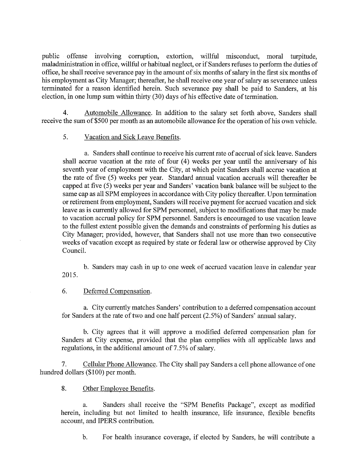public offense involving corruption, extortion, willful misconduct, moral turpitude, maladministration in office, wilful or habitual neglect, or if Sanders refuses to perform the duties of office, he shall receive severance pay in the amount of six months of salary in the first six months of his employment as City Manager; thereafter, he shall receive one year of salary as severance unless terminated for a reason identified herein. Such severance pay shall be paid to Sanders, at his election, in one lump sum within thirty (30) days of his effective date of termination.

4. Automobile Allowance. In addition to the salary set forth above, Sanders shall receive the sum of \$500 per month as an automobile allowance for the operation of his own vehicle.

## 5. Vacation and Sick Leave Benefits.

a. Sanders shall continue to receive his curent rate of accrual of sick leave. Sanders shall accrue vacation at the rate of four  $(4)$  weeks per year until the anniversary of his seventh year of employment with the City, at which point Sanders shall accrue vacation at the rate of five (5) weeks per year. Standard annual vacation accruals will thereafter be capped at five (5) weeks per year and Sanders' vacation bank balance will be subject to the same cap as all SPM employees in accordance with City policy thereafter. Upon termination or retirement from employment, Sanders will receive payment for accrued vacation and sick leave as is curently allowed for SPM personnel, subject to modifications that may be made to vacation accrual policy for SPM personnel. Sanders is encouraged to use vacation leave to the fullest extent possible given the demands and constraints of performing his duties as City Manager; provided, however, that Sanders shall not use more than two consecutive weeks of vacation except as required by state or federal law or otherwise approved by City CounciL.

b. Sanders may cash in up to one week of accrued vacation leave in calendar year 2015.

### 6. Deferred Compensation.

a. City currently matches Sanders' contribution to a deferred compensation account for Sanders at the rate of two and one half percent  $(2.5\%)$  of Sanders' annual salary.

b. City agrees that it will approve a modified deferred compensation plan for Sanders at City expense, provided that the plan complies with all applicable laws and regulations, in the additional amount of 7.5% of salary.

7. Cellular Phone Allowance. The City shall pay Sanders a cell phone allowance of one hundred dollars (\$100) per month.

## 8. Other Employee Benefits.

a. Sanders shall receive the "SPM Benefits Package", except as modified herein, including but not limited to health insurance, life insurance, flexible benefits account, and IPERS contribution.

b. For health insurance coverage, if elected by Sanders, he will contribute a